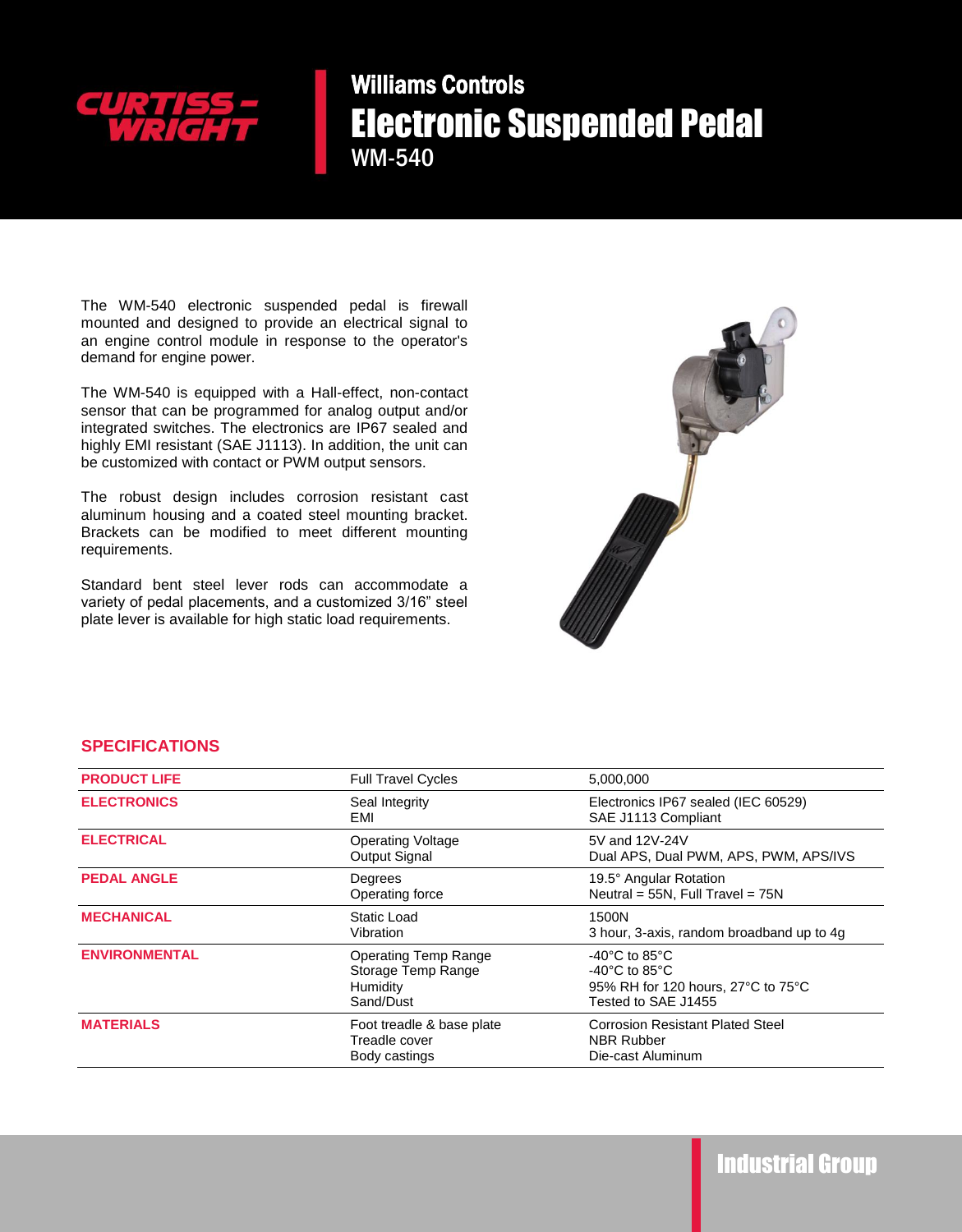

Williams Controls Electronic Suspended Pedal WM-540

The WM-540 electronic suspended pedal is firewall mounted and designed to provide an electrical signal to an engine control module in response to the operator's demand for engine power.

The WM-540 is equipped with a Hall-effect, non-contact sensor that can be programmed for analog output and/or integrated switches. The electronics are IP67 sealed and highly EMI resistant (SAE J1113). In addition, the unit can be customized with contact or PWM output sensors.

The robust design includes corrosion resistant cast aluminum housing and a coated steel mounting bracket. Brackets can be modified to meet different mounting requirements.

Standard bent steel lever rods can accommodate a variety of pedal placements, and a customized 3/16" steel plate lever is available for high static load requirements.



## **SPECIFICATIONS**

| <b>PRODUCT LIFE</b>  | <b>Full Travel Cycles</b>                                                  | 5,000,000                                                                                                                              |
|----------------------|----------------------------------------------------------------------------|----------------------------------------------------------------------------------------------------------------------------------------|
| <b>ELECTRONICS</b>   | Seal Integrity<br>EMI                                                      | Electronics IP67 sealed (IEC 60529)<br>SAE J1113 Compliant                                                                             |
| <b>ELECTRICAL</b>    | <b>Operating Voltage</b><br>Output Signal                                  | 5V and 12V-24V<br>Dual APS, Dual PWM, APS, PWM, APS/IVS                                                                                |
| <b>PEDAL ANGLE</b>   | Degrees<br>Operating force                                                 | 19.5° Angular Rotation<br>Neutral = $55N$ , Full Travel = $75N$                                                                        |
| <b>MECHANICAL</b>    | Static Load<br>Vibration                                                   | 1500N<br>3 hour, 3-axis, random broadband up to 4g                                                                                     |
| <b>ENVIRONMENTAL</b> | <b>Operating Temp Range</b><br>Storage Temp Range<br>Humidity<br>Sand/Dust | -40 $^{\circ}$ C to 85 $^{\circ}$ C<br>$-40^{\circ}$ C to 85 $^{\circ}$ C<br>95% RH for 120 hours, 27°C to 75°C<br>Tested to SAE J1455 |
| <b>MATERIALS</b>     | Foot treadle & base plate<br>Treadle cover<br>Body castings                | <b>Corrosion Resistant Plated Steel</b><br><b>NBR Rubber</b><br>Die-cast Aluminum                                                      |